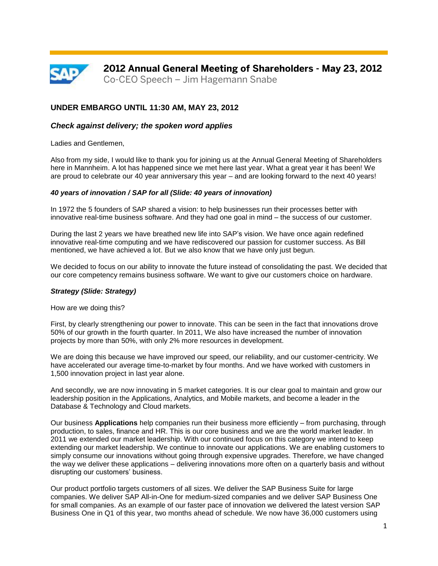

# **UNDER EMBARGO UNTIL 11:30 AM, MAY 23, 2012**

## *Check against delivery; the spoken word applies*

Ladies and Gentlemen,

Also from my side, I would like to thank you for joining us at the Annual General Meeting of Shareholders here in Mannheim. A lot has happened since we met here last year. What a great year it has been! We are proud to celebrate our 40 year anniversary this year – and are looking forward to the next 40 years!

#### *40 years of innovation / SAP for all (Slide: 40 years of innovation)*

In 1972 the 5 founders of SAP shared a vision: to help businesses run their processes better with innovative real-time business software. And they had one goal in mind – the success of our customer.

During the last 2 years we have breathed new life into SAP's vision. We have once again redefined innovative real-time computing and we have rediscovered our passion for customer success. As Bill mentioned, we have achieved a lot. But we also know that we have only just begun.

We decided to focus on our ability to innovate the future instead of consolidating the past. We decided that our core competency remains business software. We want to give our customers choice on hardware.

#### *Strategy (Slide: Strategy)*

How are we doing this?

First, by clearly strengthening our power to innovate. This can be seen in the fact that innovations drove 50% of our growth in the fourth quarter. In 2011, We also have increased the number of innovation projects by more than 50%, with only 2% more resources in development.

We are doing this because we have improved our speed, our reliability, and our customer-centricity. We have accelerated our average time-to-market by four months. And we have worked with customers in 1,500 innovation project in last year alone.

And secondly, we are now innovating in 5 market categories. It is our clear goal to maintain and grow our leadership position in the Applications, Analytics, and Mobile markets, and become a leader in the Database & Technology and Cloud markets.

Our business **Applications** help companies run their business more efficiently – from purchasing, through production, to sales, finance and HR. This is our core business and we are the world market leader. In 2011 we extended our market leadership. With our continued focus on this category we intend to keep extending our market leadership. We continue to innovate our applications. We are enabling customers to simply consume our innovations without going through expensive upgrades. Therefore, we have changed the way we deliver these applications – delivering innovations more often on a quarterly basis and without disrupting our customers' business.

Our product portfolio targets customers of all sizes. We deliver the SAP Business Suite for large companies. We deliver SAP All-in-One for medium-sized companies and we deliver SAP Business One for small companies. As an example of our faster pace of innovation we delivered the latest version SAP Business One in Q1 of this year, two months ahead of schedule. We now have 36,000 customers using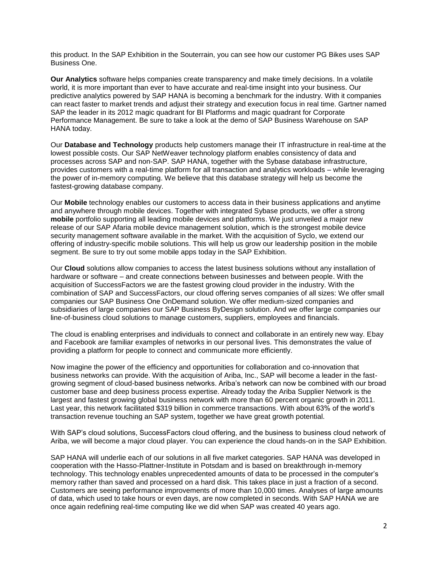this product. In the SAP Exhibition in the Souterrain, you can see how our customer PG Bikes uses SAP Business One.

**Our Analytics** software helps companies create transparency and make timely decisions. In a volatile world, it is more important than ever to have accurate and real-time insight into your business. Our predictive analytics powered by SAP HANA is becoming a benchmark for the industry. With it companies can react faster to market trends and adjust their strategy and execution focus in real time. Gartner named SAP the leader in its 2012 magic quadrant for BI Platforms and magic quadrant for Corporate Performance Management. Be sure to take a look at the demo of SAP Business Warehouse on SAP HANA today.

Our **Database and Technology** products help customers manage their IT infrastructure in real-time at the lowest possible costs. Our SAP NetWeaver technology platform enables consistency of data and processes across SAP and non-SAP. SAP HANA, together with the Sybase database infrastructure, provides customers with a real-time platform for all transaction and analytics workloads – while leveraging the power of in-memory computing. We believe that this database strategy will help us become the fastest-growing database company.

Our **Mobile** technology enables our customers to access data in their business applications and anytime and anywhere through mobile devices. Together with integrated Sybase products, we offer a strong **mobile** portfolio supporting all leading mobile devices and platforms. We just unveiled a major new release of our SAP Afaria mobile device management solution, which is the strongest mobile device security management software available in the market. With the acquisition of Syclo, we extend our offering of industry-specific mobile solutions. This will help us grow our leadership position in the mobile segment. Be sure to try out some mobile apps today in the SAP Exhibition.

Our **Cloud** solutions allow companies to access the latest business solutions without any installation of hardware or software – and create connections between businesses and between people. With the acquisition of SuccessFactors we are the fastest growing cloud provider in the industry. With the combination of SAP and SuccessFactors, our cloud offering serves companies of all sizes: We offer small companies our SAP Business One OnDemand solution. We offer medium-sized companies and subsidiaries of large companies our SAP Business ByDesign solution. And we offer large companies our line-of-business cloud solutions to manage customers, suppliers, employees and financials.

The cloud is enabling enterprises and individuals to connect and collaborate in an entirely new way. Ebay and Facebook are familiar examples of networks in our personal lives. This demonstrates the value of providing a platform for people to connect and communicate more efficiently.

Now imagine the power of the efficiency and opportunities for collaboration and co-innovation that business networks can provide. With the acquisition of Ariba, Inc., SAP will become a leader in the fastgrowing segment of cloud-based business networks. Ariba's network can now be combined with our broad customer base and deep business process expertise. Already today the Ariba Supplier Network is the largest and fastest growing global business network with more than 60 percent organic growth in 2011. Last year, this network facilitated \$319 billion in commerce transactions. With about 63% of the world's transaction revenue touching an SAP system, together we have great growth potential.

With SAP's cloud solutions, SuccessFactors cloud offering, and the business to business cloud network of Ariba, we will become a major cloud player. You can experience the cloud hands-on in the SAP Exhibition.

SAP HANA will underlie each of our solutions in all five market categories. SAP HANA was developed in cooperation with the Hasso-Plattner-Institute in Potsdam and is based on breakthrough in-memory technology. This technology enables unprecedented amounts of data to be processed in the computer's memory rather than saved and processed on a hard disk. This takes place in just a fraction of a second. Customers are seeing performance improvements of more than 10,000 times. Analyses of large amounts of data, which used to take hours or even days, are now completed in seconds. With SAP HANA we are once again redefining real-time computing like we did when SAP was created 40 years ago.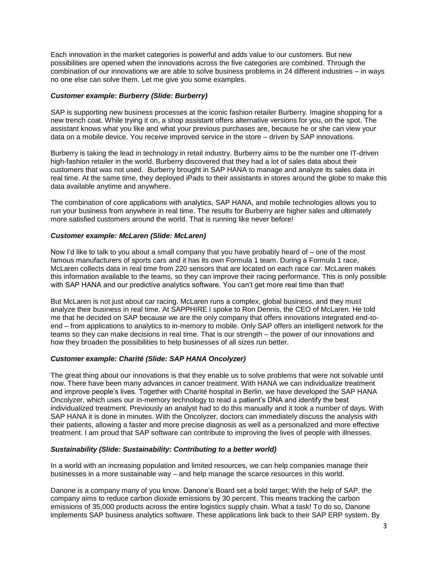Each innovation in the market categories is powerful and adds value to our customers. But new possibilities are opened when the innovations across the five categories are combined. Through the combination of our innovations we are able to solve business problems in 24 different industries – in ways no one else can solve them. Let me give you some examples.

## *Customer example: Burberry (Slide: Burberry)*

SAP is supporting new business processes at the iconic fashion retailer Burberry. Imagine shopping for a new trench coat. While trying it on, a shop assistant offers alternative versions for you, on the spot. The assistant knows what you like and what your previous purchases are, because he or she can view your data on a mobile device. You receive improved service in the store – driven by SAP innovations.

Burberry is taking the lead in technology in retail industry. Burberry aims to be the number one IT-driven high-fashion retailer in the world. Burberry discovered that they had a lot of sales data about their customers that was not used. Burberry brought in SAP HANA to manage and analyze its sales data in real time. At the same time, they deployed iPads to their assistants in stores around the globe to make this data available anytime and anywhere.

The combination of core applications with analytics, SAP HANA, and mobile technologies allows you to run your business from anywhere in real time. The results for Burberry are higher sales and ultimately more satisfied customers around the world. That is running like never before!

## *Customer example: McLaren (Slide: McLaren)*

Now I'd like to talk to you about a small company that you have probably heard of – one of the most famous manufacturers of sports cars and it has its own Formula 1 team. During a Formula 1 race, McLaren collects data in real time from 220 sensors that are located on each race car. McLaren makes this information available to the teams, so they can improve their racing performance. This is only possible with SAP HANA and our predictive analytics software. You can't get more real time than that!

But McLaren is not just about car racing. McLaren runs a complex, global business, and they must analyze their business in real time. At SAPPHIRE I spoke to Ron Dennis, the CEO of McLaren. He told me that he decided on SAP because we are the only company that offers innovations integrated end-toend – from applications to analytics to in-memory to mobile. Only SAP offers an intelligent network for the teams so they can make decisions in real time. That is our strength – the power of our innovations and how they broaden the possibilities to help businesses of all sizes run better.

#### *Customer example: Charité (Slide: SAP HANA Oncolyzer)*

The great thing about our innovations is that they enable us to solve problems that were not solvable until now. There have been many advances in cancer treatment. With HANA we can individualize treatment and improve people's lives. Together with Charité hospital in Berlin, we have developed the SAP HANA Oncolyzer, which uses our in-memory technology to read a patient's DNA and identify the best individualized treatment. Previously an analyst had to do this manually and it took a number of days. With SAP HANA it is done in minutes. With the Oncolyzer, doctors can immediately discuss the analysis with their patients, allowing a faster and more precise diagnosis as well as a personalized and more effective treatment. I am proud that SAP software can contribute to improving the lives of people with illnesses.

#### *Sustainability (Slide: Sustainability: Contributing to a better world)*

In a world with an increasing population and limited resources, we can help companies manage their businesses in a more sustainable way – and help manage the scarce resources in this world.

Danone is a company many of you know. Danone's Board set a bold target: With the help of SAP, the company aims to reduce carbon dioxide emissions by 30 percent. This means tracking the carbon emissions of 35,000 products across the entire logistics supply chain. What a task! To do so, Danone implements SAP business analytics software. These applications link back to their SAP ERP system. By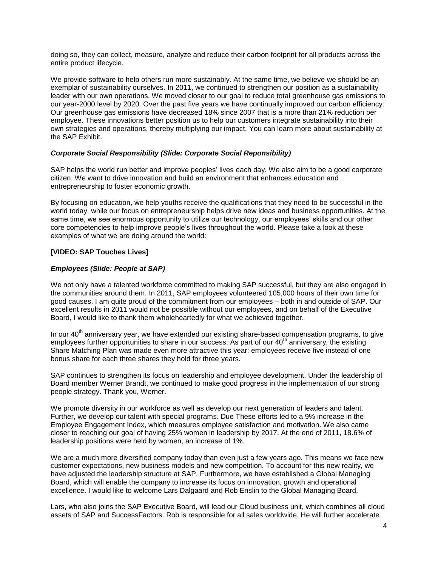doing so, they can collect, measure, analyze and reduce their carbon footprint for all products across the entire product lifecycle.

We provide software to help others run more sustainably. At the same time, we believe we should be an exemplar of sustainability ourselves. In 2011, we continued to strengthen our position as a sustainability leader with our own operations. We moved closer to our goal to reduce total greenhouse gas emissions to our year-2000 level by 2020. Over the past five years we have continually improved our carbon efficiency: Our greenhouse gas emissions have decreased 18% since 2007 that is a more than 21% reduction per employee. These innovations better position us to help our customers integrate sustainability into their own strategies and operations, thereby multiplying our impact. You can learn more about sustainability at the SAP Exhibit.

## *Corporate Social Responsibility (Slide: Corporate Social Reponsibility)*

SAP helps the world run better and improve peoples' lives each day. We also aim to be a good corporate citizen. We want to drive innovation and build an environment that enhances education and entrepreneurship to foster economic growth.

By focusing on education, we help youths receive the qualifications that they need to be successful in the world today, while our focus on entrepreneurship helps drive new ideas and business opportunities. At the same time, we see enormous opportunity to utilize our technology, our employees' skills and our other core competencies to help improve people's lives throughout the world. Please take a look at these examples of what we are doing around the world:

## **[VIDEO: SAP Touches Lives]**

## *Employees (Slide: People at SAP)*

We not only have a talented workforce committed to making SAP successful, but they are also engaged in the communities around them. In 2011, SAP employees volunteered 105,000 hours of their own time for good causes. I am quite proud of the commitment from our employees – both in and outside of SAP. Our excellent results in 2011 would not be possible without our employees, and on behalf of the Executive Board, I would like to thank them wholeheartedly for what we achieved together.

In our 40<sup>th</sup> anniversary year, we have extended our existing share-based compensation programs, to give employees further opportunities to share in our success. As part of our  $40<sup>th</sup>$  anniversary, the existing Share Matching Plan was made even more attractive this year: employees receive five instead of one bonus share for each three shares they hold for three years.

SAP continues to strengthen its focus on leadership and employee development. Under the leadership of Board member Werner Brandt, we continued to make good progress in the implementation of our strong people strategy. Thank you, Werner.

We promote diversity in our workforce as well as develop our next generation of leaders and talent. Further, we develop our talent with special programs. Due These efforts led to a 9% increase in the Employee Engagement Index, which measures employee satisfaction and motivation. We also came closer to reaching our goal of having 25% women in leadership by 2017. At the end of 2011, 18.6% of leadership positions were held by women, an increase of 1%.

We are a much more diversified company today than even just a few years ago. This means we face new customer expectations, new business models and new competition. To account for this new reality, we have adjusted the leadership structure at SAP. Furthermore, we have established a Global Managing Board, which will enable the company to increase its focus on innovation, growth and operational excellence. I would like to welcome Lars Dalgaard and Rob Enslin to the Global Managing Board.

Lars, who also joins the SAP Executive Board, will lead our Cloud business unit, which combines all cloud assets of SAP and SuccessFactors. Rob is responsible for all sales worldwide. He will further accelerate